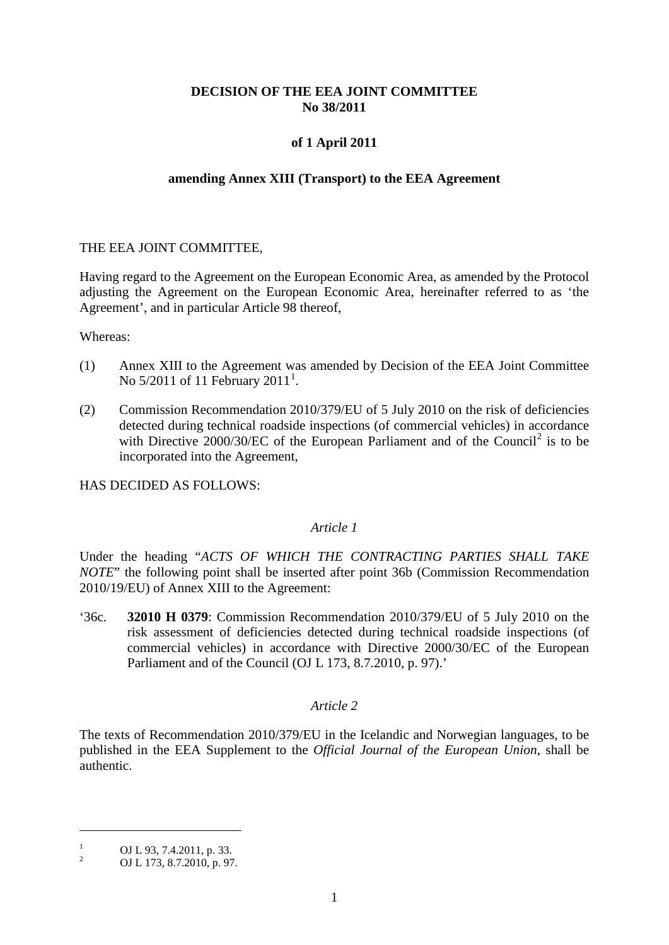# **DECISION OF THE EEA JOINT COMMITTEE No 38/2011**

# **of 1 April 2011**

## **amending Annex XIII (Transport) to the EEA Agreement**

## THE EEA JOINT COMMITTEE,

Having regard to the Agreement on the European Economic Area, as amended by the Protocol adjusting the Agreement on the European Economic Area, hereinafter referred to as 'the Agreement', and in particular Article 98 thereof,

Whereas:

- (1) Annex XIII to the Agreement was amended by Decision of the EEA Joint Committee No  $5/2011$  $5/2011$  $5/2011$  of 11 February  $2011^1$ .
- (2) Commission Recommendation 2010/379/EU of 5 July 2010 on the risk of deficiencies detected during technical roadside inspections (of commercial vehicles) in accordance with Directive [2](#page-0-1)000/30/EC of the European Parliament and of the Council<sup>2</sup> is to be incorporated into the Agreement,

HAS DECIDED AS FOLLOWS:

#### *Article 1*

Under the heading "*ACTS OF WHICH THE CONTRACTING PARTIES SHALL TAKE NOTE*" the following point shall be inserted after point 36b (Commission Recommendation 2010/19/EU) of Annex XIII to the Agreement:

'36c. **32010 H 0379**: Commission Recommendation 2010/379/EU of 5 July 2010 on the risk assessment of deficiencies detected during technical roadside inspections (of commercial vehicles) in accordance with Directive 2000/30/EC of the European Parliament and of the Council (OJ L 173, 8.7.2010, p. 97).'

#### *Article 2*

The texts of Recommendation 2010/379/EU in the Icelandic and Norwegian languages, to be published in the EEA Supplement to the *Official Journal of the European Union*, shall be authentic.

 $\overline{a}$ 

<span id="page-0-0"></span><sup>&</sup>lt;sup>1</sup> OJ L 93, 7.4.2011, p. 33.<br>
OJ L 173, 8.7.2010, p. 97.

<span id="page-0-2"></span><span id="page-0-1"></span>